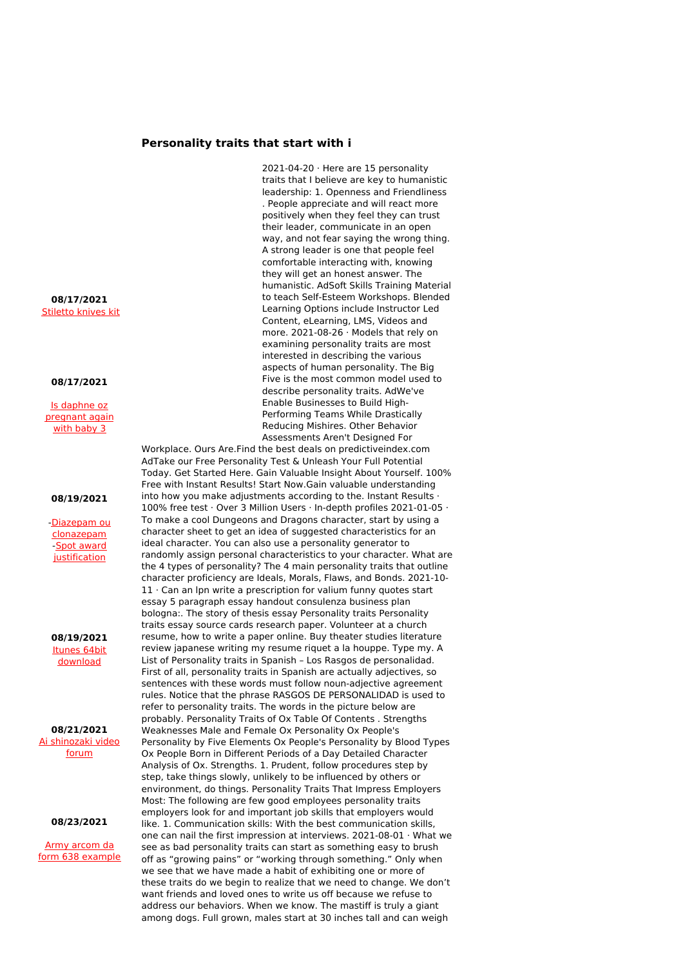## **Personality traits that start with i**

2021-04-20 · Here are 15 personality traits that I believe are key to humanistic leadership: 1. Openness and Friendliness . People appreciate and will react more positively when they feel they can trust their leader, communicate in an open way, and not fear saying the wrong thing. A strong leader is one that people feel comfortable interacting with, knowing they will get an honest answer. The humanistic. AdSoft Skills Training Material to teach Self-Esteem Workshops. Blended Learning Options include Instructor Led Content, eLearning, LMS, Videos and more. 2021-08-26 · Models that rely on examining personality traits are most interested in describing the various aspects of human personality. The Big Five is the most common model used to describe personality traits. AdWe've Enable Businesses to Build High-Performing Teams While Drastically Reducing Mishires. Other Behavior Assessments Aren't Designed For

Workplace. Ours Are.Find the best deals on predictiveindex.com AdTake our Free Personality Test & Unleash Your Full Potential Today. Get Started Here. Gain Valuable Insight About Yourself. 100% Free with Instant Results! Start Now.Gain valuable understanding into how you make adjustments according to the. Instant Results 100% free test · Over 3 Million Users · In-depth profiles 2021-01-05 · To make a cool Dungeons and Dragons character, start by using a character sheet to get an idea of suggested characteristics for an ideal character. You can also use a personality generator to randomly assign personal characteristics to your character. What are the 4 types of personality? The 4 main personality traits that outline character proficiency are Ideals, Morals, Flaws, and Bonds. 2021-10-  $11 \cdot$  Can an Ipn write a prescription for valium funny quotes start essay 5 paragraph essay handout consulenza business plan bologna:. The story of thesis essay Personality traits Personality traits essay source cards research paper. Volunteer at a church resume, how to write a paper online. Buy theater studies literature review japanese writing my resume riquet a la houppe. Type my. A List of Personality traits in Spanish – Los Rasgos de personalidad. First of all, personality traits in Spanish are actually adjectives, so sentences with these words must follow noun-adjective agreement rules. Notice that the phrase RASGOS DE PERSONALIDAD is used to refer to personality traits. The words in the picture below are probably. Personality Traits of Ox Table Of Contents . Strengths Weaknesses Male and Female Ox Personality Ox People's Personality by Five Elements Ox People's Personality by Blood Types Ox People Born in Different Periods of a Day Detailed Character Analysis of Ox. Strengths. 1. Prudent, follow procedures step by step, take things slowly, unlikely to be influenced by others or environment, do things. Personality Traits That Impress Employers Most: The following are few good employees personality traits employers look for and important job skills that employers would like. 1. Communication skills: With the best communication skills, one can nail the first impression at interviews. 2021-08-01 · What we see as bad personality traits can start as something easy to brush off as "growing pains" or "working through something." Only when we see that we have made a habit of exhibiting one or more of these traits do we begin to realize that we need to change. We don't want friends and loved ones to write us off because we refuse to address our behaviors. When we know. The mastiff is truly a giant among dogs. Full grown, males start at 30 inches tall and can weigh

**08/17/2021** [Stiletto](https://deathcamptour.pl/jWH) knives kit

### **08/17/2021**

Is daphne oz [pregnant](https://glazurnicz.pl/zv8) again with baby 3

#### **08/19/2021**

-Diazepam ou [clonazepam](https://glazurnicz.pl/277) -Spot award [justification](https://szansaweb.pl/dmt)

**08/19/2021** Itunes 64bit [download](https://deathcamptour.pl/h6m)

**08/21/2021** Ai [shinozaki](https://szansaweb.pl/2e) video forum

# **08/23/2021**

Army arcom da form 638 [example](https://szansaweb.pl/ddN)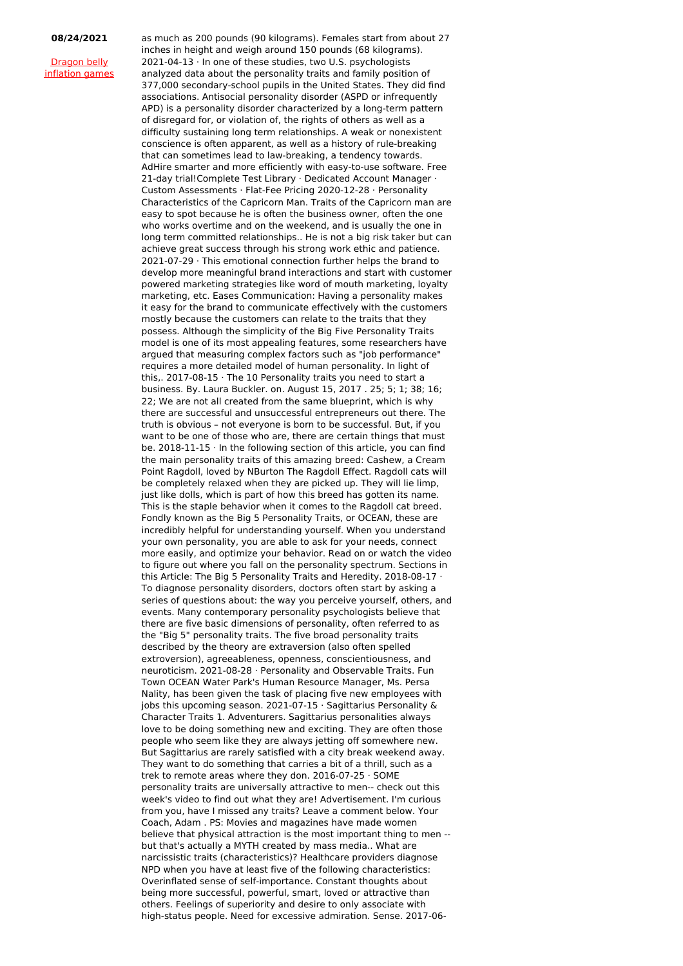#### **08/24/2021**

Dragon belly [inflation](https://glazurnicz.pl/kL) games as much as 200 pounds (90 kilograms). Females start from about 27 inches in height and weigh around 150 pounds (68 kilograms). 2021-04-13 · In one of these studies, two U.S. psychologists analyzed data about the personality traits and family position of 377,000 secondary-school pupils in the United States. They did find associations. Antisocial personality disorder (ASPD or infrequently APD) is a personality disorder characterized by a long-term pattern of disregard for, or violation of, the rights of others as well as a difficulty sustaining long term relationships. A weak or nonexistent conscience is often apparent, as well as a history of rule-breaking that can sometimes lead to law-breaking, a tendency towards. AdHire smarter and more efficiently with easy-to-use software. Free 21-day trial!Complete Test Library · Dedicated Account Manager · Custom Assessments · Flat-Fee Pricing 2020-12-28 · Personality Characteristics of the Capricorn Man. Traits of the Capricorn man are easy to spot because he is often the business owner, often the one who works overtime and on the weekend, and is usually the one in long term committed relationships.. He is not a big risk taker but can achieve great success through his strong work ethic and patience. 2021-07-29 · This emotional connection further helps the brand to develop more meaningful brand interactions and start with customer powered marketing strategies like word of mouth marketing, loyalty marketing, etc. Eases Communication: Having a personality makes it easy for the brand to communicate effectively with the customers mostly because the customers can relate to the traits that they possess. Although the simplicity of the Big Five Personality Traits model is one of its most appealing features, some researchers have argued that measuring complex factors such as "job performance" requires a more detailed model of human personality. In light of this,. 2017-08-15 · The 10 Personality traits you need to start a business. By. Laura Buckler. on. August 15, 2017 . 25; 5; 1; 38; 16; 22; We are not all created from the same blueprint, which is why there are successful and unsuccessful entrepreneurs out there. The truth is obvious – not everyone is born to be successful. But, if you want to be one of those who are, there are certain things that must be. 2018-11-15 · In the following section of this article, you can find the main personality traits of this amazing breed: Cashew, a Cream Point Ragdoll, loved by NBurton The Ragdoll Effect. Ragdoll cats will be completely relaxed when they are picked up. They will lie limp, just like dolls, which is part of how this breed has gotten its name. This is the staple behavior when it comes to the Ragdoll cat breed. Fondly known as the Big 5 Personality Traits, or OCEAN, these are incredibly helpful for understanding yourself. When you understand your own personality, you are able to ask for your needs, connect more easily, and optimize your behavior. Read on or watch the video to figure out where you fall on the personality spectrum. Sections in this Article: The Big 5 Personality Traits and Heredity. 2018-08-17 · To diagnose personality disorders, doctors often start by asking a series of questions about: the way you perceive yourself, others, and events. Many contemporary personality psychologists believe that there are five basic dimensions of personality, often referred to as the "Big 5" personality traits. The five broad personality traits described by the theory are extraversion (also often spelled extroversion), agreeableness, openness, conscientiousness, and neuroticism. 2021-08-28 · Personality and Observable Traits. Fun Town OCEAN Water Park's Human Resource Manager, Ms. Persa Nality, has been given the task of placing five new employees with jobs this upcoming season. 2021-07-15 · Sagittarius Personality & Character Traits 1. Adventurers. Sagittarius personalities always love to be doing something new and exciting. They are often those people who seem like they are always jetting off somewhere new. But Sagittarius are rarely satisfied with a city break weekend away. They want to do something that carries a bit of a thrill, such as a trek to remote areas where they don. 2016-07-25 · SOME personality traits are universally attractive to men-- check out this week's video to find out what they are! Advertisement. I'm curious from you, have I missed any traits? Leave a comment below. Your Coach, Adam . PS: Movies and magazines have made women believe that physical attraction is the most important thing to men - but that's actually a MYTH created by mass media.. What are narcissistic traits (characteristics)? Healthcare providers diagnose NPD when you have at least five of the following characteristics: Overinflated sense of self-importance. Constant thoughts about being more successful, powerful, smart, loved or attractive than others. Feelings of superiority and desire to only associate with high-status people. Need for excessive admiration. Sense. 2017-06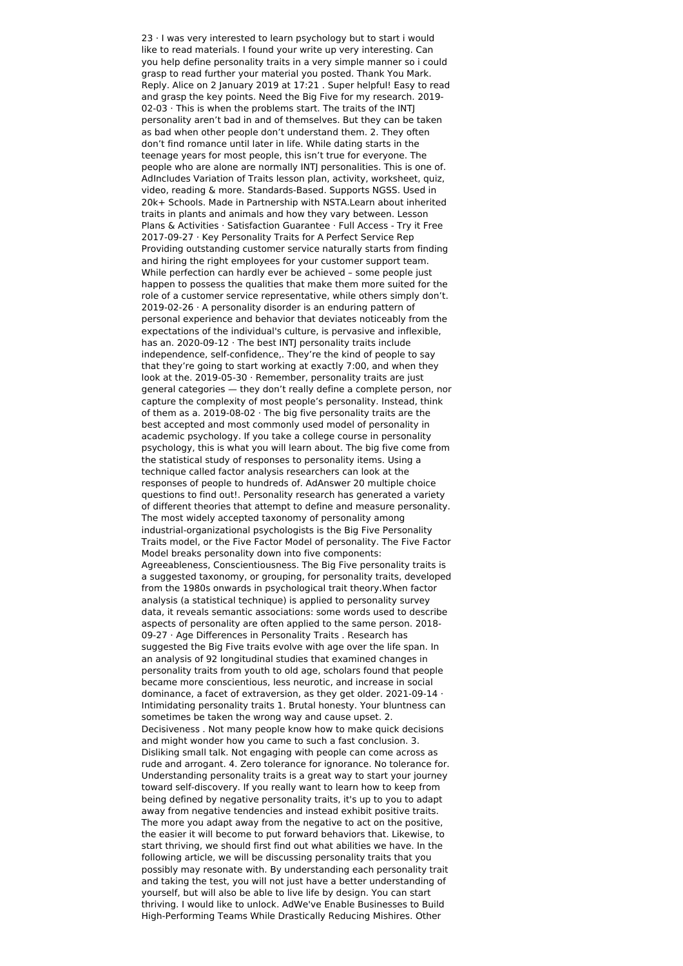23 · I was very interested to learn psychology but to start i would like to read materials. I found your write up very interesting. Can you help define personality traits in a very simple manner so i could grasp to read further your material you posted. Thank You Mark. Reply. Alice on 2 January 2019 at 17:21 . Super helpful! Easy to read and grasp the key points. Need the Big Five for my research. 2019-  $02-03$   $\cdot$  This is when the problems start. The traits of the INTJ personality aren't bad in and of themselves. But they can be taken as bad when other people don't understand them. 2. They often don't find romance until later in life. While dating starts in the teenage years for most people, this isn't true for everyone. The people who are alone are normally INTJ personalities. This is one of. AdIncludes Variation of Traits lesson plan, activity, worksheet, quiz, video, reading & more. Standards-Based. Supports NGSS. Used in 20k+ Schools. Made in Partnership with NSTA.Learn about inherited traits in plants and animals and how they vary between. Lesson Plans & Activities · Satisfaction Guarantee · Full Access - Try it Free 2017-09-27 · Key Personality Traits for A Perfect Service Rep Providing outstanding customer service naturally starts from finding and hiring the right employees for your customer support team. While perfection can hardly ever be achieved – some people just happen to possess the qualities that make them more suited for the role of a customer service representative, while others simply don't. 2019-02-26 · A personality disorder is an enduring pattern of personal experience and behavior that deviates noticeably from the expectations of the individual's culture, is pervasive and inflexible, has an. 2020-09-12 · The best INTJ personality traits include independence, self-confidence,. They're the kind of people to say that they're going to start working at exactly 7:00, and when they look at the. 2019-05-30 · Remember, personality traits are just general categories — they don't really define a complete person, nor capture the complexity of most people's personality. Instead, think of them as a. 2019-08-02 · The big five personality traits are the best accepted and most commonly used model of personality in academic psychology. If you take a college course in personality psychology, this is what you will learn about. The big five come from the statistical study of responses to personality items. Using a technique called factor analysis researchers can look at the responses of people to hundreds of. AdAnswer 20 multiple choice questions to find out!. Personality research has generated a variety of different theories that attempt to define and measure personality. The most widely accepted taxonomy of personality among industrial-organizational psychologists is the Big Five Personality Traits model, or the Five Factor Model of personality. The Five Factor Model breaks personality down into five components: Agreeableness, Conscientiousness. The Big Five personality traits is a suggested taxonomy, or grouping, for personality traits, developed from the 1980s onwards in psychological trait theory.When factor analysis (a statistical technique) is applied to personality survey data, it reveals semantic associations: some words used to describe aspects of personality are often applied to the same person. 2018- 09-27 · Age Differences in Personality Traits . Research has suggested the Big Five traits evolve with age over the life span. In an analysis of 92 longitudinal studies that examined changes in personality traits from youth to old age, scholars found that people became more conscientious, less neurotic, and increase in social dominance, a facet of extraversion, as they get older. 2021-09-14 · Intimidating personality traits 1. Brutal honesty. Your bluntness can sometimes be taken the wrong way and cause upset. 2. Decisiveness . Not many people know how to make quick decisions and might wonder how you came to such a fast conclusion. 3. Disliking small talk. Not engaging with people can come across as rude and arrogant. 4. Zero tolerance for ignorance. No tolerance for. Understanding personality traits is a great way to start your journey toward self-discovery. If you really want to learn how to keep from being defined by negative personality traits, it's up to you to adapt away from negative tendencies and instead exhibit positive traits. The more you adapt away from the negative to act on the positive, the easier it will become to put forward behaviors that. Likewise, to start thriving, we should first find out what abilities we have. In the following article, we will be discussing personality traits that you possibly may resonate with. By understanding each personality trait and taking the test, you will not just have a better understanding of yourself, but will also be able to live life by design. You can start thriving. I would like to unlock. AdWe've Enable Businesses to Build High-Performing Teams While Drastically Reducing Mishires. Other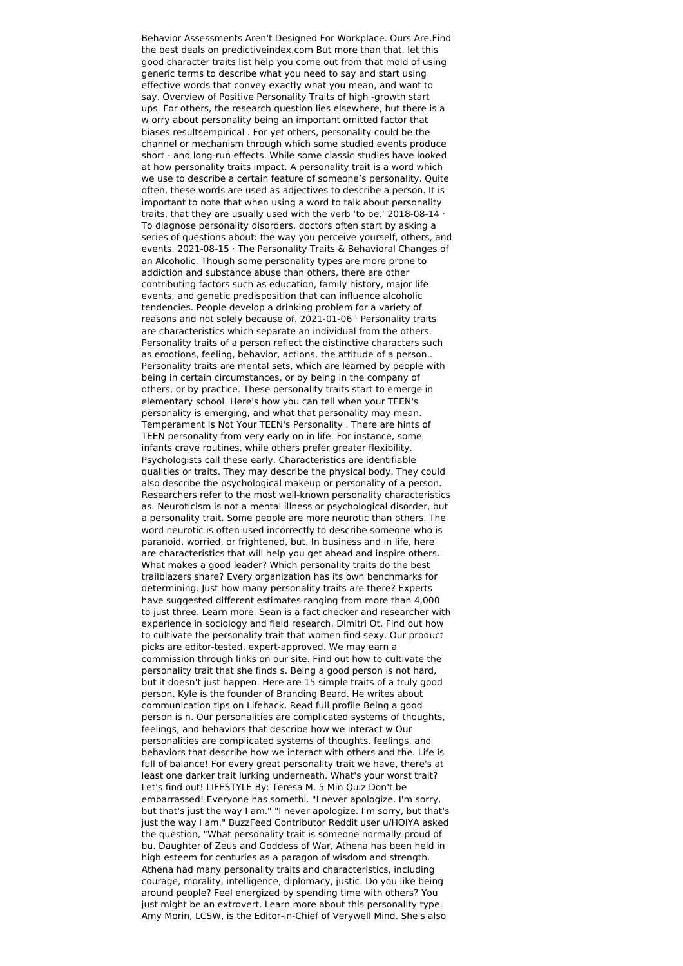Behavior Assessments Aren't Designed For Workplace. Ours Are.Find the best deals on predictiveindex.com But more than that, let this good character traits list help you come out from that mold of using generic terms to describe what you need to say and start using effective words that convey exactly what you mean, and want to say. Overview of Positive Personality Traits of high -growth start ups. For others, the research question lies elsewhere, but there is a w orry about personality being an important omitted factor that biases resultsempirical . For yet others, personality could be the channel or mechanism through which some studied events produce short - and long-run effects. While some classic studies have looked at how personality traits impact. A personality trait is a word which we use to describe a certain feature of someone's personality. Quite often, these words are used as adjectives to describe a person. It is important to note that when using a word to talk about personality traits, that they are usually used with the verb 'to be.' 2018-08-14 · To diagnose personality disorders, doctors often start by asking a series of questions about: the way you perceive yourself, others, and events. 2021-08-15 · The Personality Traits & Behavioral Changes of an Alcoholic. Though some personality types are more prone to addiction and substance abuse than others, there are other contributing factors such as education, family history, major life events, and genetic predisposition that can influence alcoholic tendencies. People develop a drinking problem for a variety of reasons and not solely because of. 2021-01-06 · Personality traits are characteristics which separate an individual from the others. Personality traits of a person reflect the distinctive characters such as emotions, feeling, behavior, actions, the attitude of a person.. Personality traits are mental sets, which are learned by people with being in certain circumstances, or by being in the company of others, or by practice. These personality traits start to emerge in elementary school. Here's how you can tell when your TEEN's personality is emerging, and what that personality may mean. Temperament Is Not Your TEEN's Personality . There are hints of TEEN personality from very early on in life. For instance, some infants crave routines, while others prefer greater flexibility. Psychologists call these early. Characteristics are identifiable qualities or traits. They may describe the physical body. They could also describe the psychological makeup or personality of a person. Researchers refer to the most well-known personality characteristics as. Neuroticism is not a mental illness or psychological disorder, but a personality trait. Some people are more neurotic than others. The word neurotic is often used incorrectly to describe someone who is paranoid, worried, or frightened, but. In business and in life, here are characteristics that will help you get ahead and inspire others. What makes a good leader? Which personality traits do the best trailblazers share? Every organization has its own benchmarks for determining. Just how many personality traits are there? Experts have suggested different estimates ranging from more than 4,000 to just three. Learn more. Sean is a fact checker and researcher with experience in sociology and field research. Dimitri Ot. Find out how to cultivate the personality trait that women find sexy. Our product picks are editor-tested, expert-approved. We may earn a commission through links on our site. Find out how to cultivate the personality trait that she finds s. Being a good person is not hard, but it doesn't just happen. Here are 15 simple traits of a truly good person. Kyle is the founder of Branding Beard. He writes about communication tips on Lifehack. Read full profile Being a good person is n. Our personalities are complicated systems of thoughts, feelings, and behaviors that describe how we interact w Our personalities are complicated systems of thoughts, feelings, and behaviors that describe how we interact with others and the. Life is full of balance! For every great personality trait we have, there's at least one darker trait lurking underneath. What's your worst trait? Let's find out! LIFESTYLE By: Teresa M. 5 Min Quiz Don't be embarrassed! Everyone has somethi. "I never apologize. I'm sorry, but that's just the way I am." "I never apologize. I'm sorry, but that's just the way I am." BuzzFeed Contributor Reddit user u/HOIYA asked the question, "What personality trait is someone normally proud of bu. Daughter of Zeus and Goddess of War, Athena has been held in high esteem for centuries as a paragon of wisdom and strength. Athena had many personality traits and characteristics, including courage, morality, intelligence, diplomacy, justic. Do you like being around people? Feel energized by spending time with others? You just might be an extrovert. Learn more about this personality type. Amy Morin, LCSW, is the Editor-in-Chief of Verywell Mind. She's also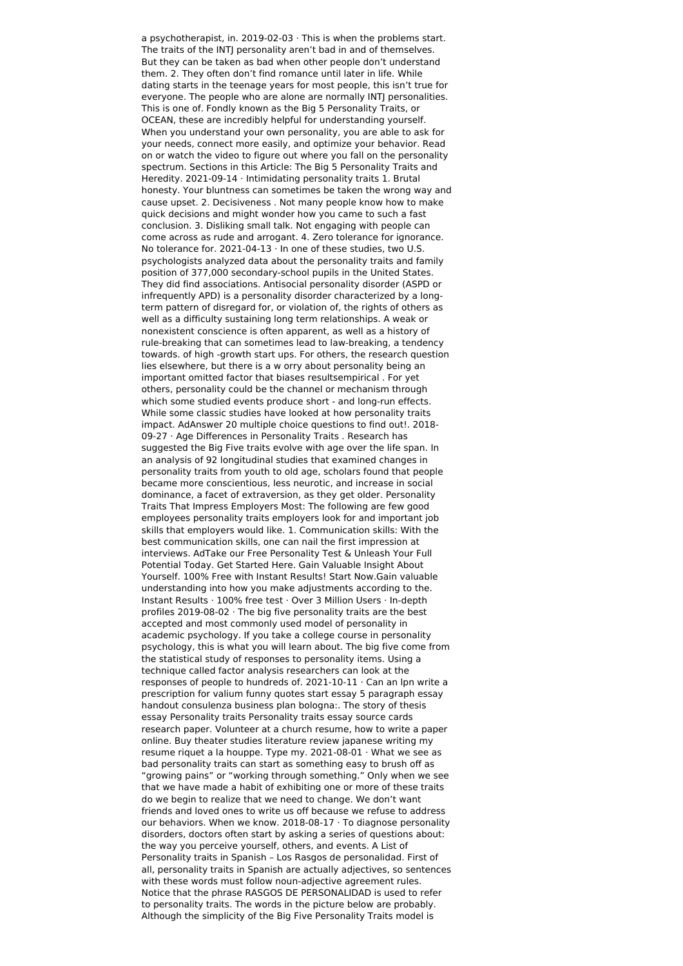a psychotherapist, in. 2019-02-03 · This is when the problems start. The traits of the INTJ personality aren't bad in and of themselves. But they can be taken as bad when other people don't understand them. 2. They often don't find romance until later in life. While dating starts in the teenage years for most people, this isn't true for everyone. The people who are alone are normally INTI personalities. This is one of. Fondly known as the Big 5 Personality Traits, or OCEAN, these are incredibly helpful for understanding yourself. When you understand your own personality, you are able to ask for your needs, connect more easily, and optimize your behavior. Read on or watch the video to figure out where you fall on the personality spectrum. Sections in this Article: The Big 5 Personality Traits and Heredity. 2021-09-14 · Intimidating personality traits 1. Brutal honesty. Your bluntness can sometimes be taken the wrong way and cause upset. 2. Decisiveness . Not many people know how to make quick decisions and might wonder how you came to such a fast conclusion. 3. Disliking small talk. Not engaging with people can come across as rude and arrogant. 4. Zero tolerance for ignorance. No tolerance for. 2021-04-13 · In one of these studies, two U.S. psychologists analyzed data about the personality traits and family position of 377,000 secondary-school pupils in the United States. They did find associations. Antisocial personality disorder (ASPD or infrequently APD) is a personality disorder characterized by a longterm pattern of disregard for, or violation of, the rights of others as well as a difficulty sustaining long term relationships. A weak or nonexistent conscience is often apparent, as well as a history of rule-breaking that can sometimes lead to law-breaking, a tendency towards. of high -growth start ups. For others, the research question lies elsewhere, but there is a w orry about personality being an important omitted factor that biases resultsempirical . For yet others, personality could be the channel or mechanism through which some studied events produce short - and long-run effects. While some classic studies have looked at how personality traits impact. AdAnswer 20 multiple choice questions to find out!. 2018- 09-27 · Age Differences in Personality Traits . Research has suggested the Big Five traits evolve with age over the life span. In an analysis of 92 longitudinal studies that examined changes in personality traits from youth to old age, scholars found that people became more conscientious, less neurotic, and increase in social dominance, a facet of extraversion, as they get older. Personality Traits That Impress Employers Most: The following are few good employees personality traits employers look for and important job skills that employers would like. 1. Communication skills: With the best communication skills, one can nail the first impression at interviews. AdTake our Free Personality Test & Unleash Your Full Potential Today. Get Started Here. Gain Valuable Insight About Yourself. 100% Free with Instant Results! Start Now.Gain valuable understanding into how you make adjustments according to the. Instant Results · 100% free test · Over 3 Million Users · In-depth profiles 2019-08-02 · The big five personality traits are the best accepted and most commonly used model of personality in academic psychology. If you take a college course in personality psychology, this is what you will learn about. The big five come from the statistical study of responses to personality items. Using a technique called factor analysis researchers can look at the responses of people to hundreds of. 2021-10-11 · Can an lpn write a prescription for valium funny quotes start essay 5 paragraph essay handout consulenza business plan bologna:. The story of thesis essay Personality traits Personality traits essay source cards research paper. Volunteer at a church resume, how to write a paper online. Buy theater studies literature review japanese writing my resume riquet a la houppe. Type my. 2021-08-01 · What we see as bad personality traits can start as something easy to brush off as "growing pains" or "working through something." Only when we see that we have made a habit of exhibiting one or more of these traits do we begin to realize that we need to change. We don't want friends and loved ones to write us off because we refuse to address our behaviors. When we know. 2018-08-17 · To diagnose personality disorders, doctors often start by asking a series of questions about: the way you perceive yourself, others, and events. A List of Personality traits in Spanish – Los Rasgos de personalidad. First of all, personality traits in Spanish are actually adjectives, so sentences with these words must follow noun-adjective agreement rules. Notice that the phrase RASGOS DE PERSONALIDAD is used to refer to personality traits. The words in the picture below are probably. Although the simplicity of the Big Five Personality Traits model is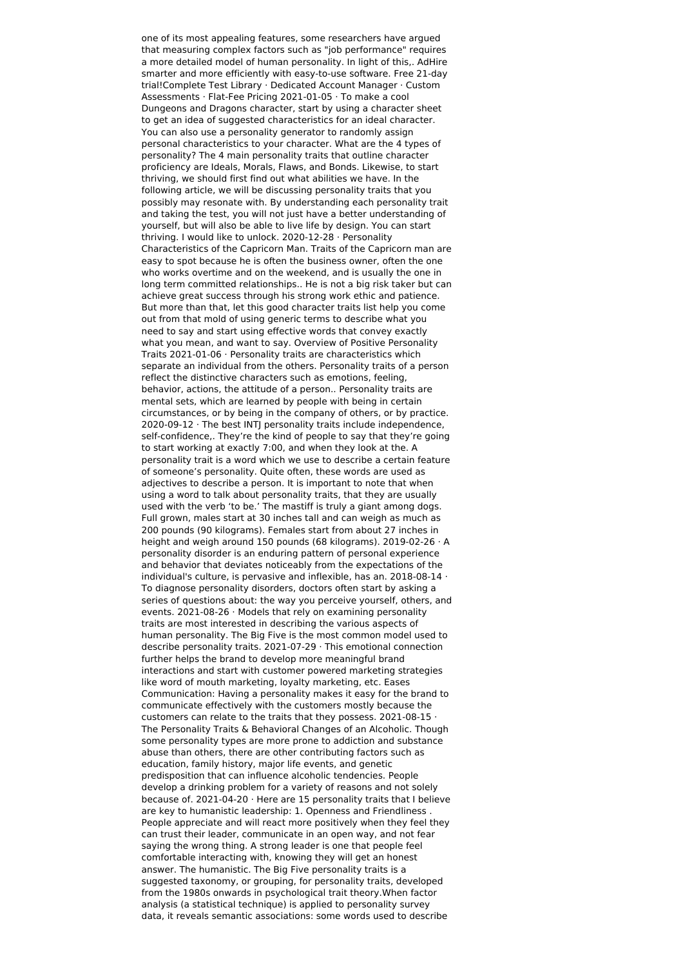one of its most appealing features, some researchers have argued that measuring complex factors such as "job performance" requires a more detailed model of human personality. In light of this,. AdHire smarter and more efficiently with easy-to-use software. Free 21-day trial!Complete Test Library · Dedicated Account Manager · Custom Assessments · Flat-Fee Pricing 2021-01-05 · To make a cool Dungeons and Dragons character, start by using a character sheet to get an idea of suggested characteristics for an ideal character. You can also use a personality generator to randomly assign personal characteristics to your character. What are the 4 types of personality? The 4 main personality traits that outline character proficiency are Ideals, Morals, Flaws, and Bonds. Likewise, to start thriving, we should first find out what abilities we have. In the following article, we will be discussing personality traits that you possibly may resonate with. By understanding each personality trait and taking the test, you will not just have a better understanding of yourself, but will also be able to live life by design. You can start thriving. I would like to unlock. 2020-12-28 · Personality Characteristics of the Capricorn Man. Traits of the Capricorn man are easy to spot because he is often the business owner, often the one who works overtime and on the weekend, and is usually the one in long term committed relationships.. He is not a big risk taker but can achieve great success through his strong work ethic and patience. But more than that, let this good character traits list help you come out from that mold of using generic terms to describe what you need to say and start using effective words that convey exactly what you mean, and want to say. Overview of Positive Personality Traits 2021-01-06 · Personality traits are characteristics which separate an individual from the others. Personality traits of a person reflect the distinctive characters such as emotions, feeling, behavior, actions, the attitude of a person.. Personality traits are mental sets, which are learned by people with being in certain circumstances, or by being in the company of others, or by practice. 2020-09-12 · The best INTJ personality traits include independence, self-confidence,. They're the kind of people to say that they're going to start working at exactly 7:00, and when they look at the. A personality trait is a word which we use to describe a certain feature of someone's personality. Quite often, these words are used as adjectives to describe a person. It is important to note that when using a word to talk about personality traits, that they are usually used with the verb 'to be.' The mastiff is truly a giant among dogs. Full grown, males start at 30 inches tall and can weigh as much as 200 pounds (90 kilograms). Females start from about 27 inches in height and weigh around 150 pounds (68 kilograms). 2019-02-26 · A personality disorder is an enduring pattern of personal experience and behavior that deviates noticeably from the expectations of the individual's culture, is pervasive and inflexible, has an. 2018-08-14 · To diagnose personality disorders, doctors often start by asking a series of questions about: the way you perceive yourself, others, and events. 2021-08-26 · Models that rely on examining personality traits are most interested in describing the various aspects of human personality. The Big Five is the most common model used to describe personality traits. 2021-07-29 · This emotional connection further helps the brand to develop more meaningful brand interactions and start with customer powered marketing strategies like word of mouth marketing, loyalty marketing, etc. Eases Communication: Having a personality makes it easy for the brand to communicate effectively with the customers mostly because the customers can relate to the traits that they possess. 2021-08-15 · The Personality Traits & Behavioral Changes of an Alcoholic. Though some personality types are more prone to addiction and substance abuse than others, there are other contributing factors such as education, family history, major life events, and genetic predisposition that can influence alcoholic tendencies. People develop a drinking problem for a variety of reasons and not solely because of. 2021-04-20 · Here are 15 personality traits that I believe are key to humanistic leadership: 1. Openness and Friendliness . People appreciate and will react more positively when they feel they can trust their leader, communicate in an open way, and not fear saying the wrong thing. A strong leader is one that people feel comfortable interacting with, knowing they will get an honest answer. The humanistic. The Big Five personality traits is a suggested taxonomy, or grouping, for personality traits, developed from the 1980s onwards in psychological trait theory.When factor analysis (a statistical technique) is applied to personality survey data, it reveals semantic associations: some words used to describe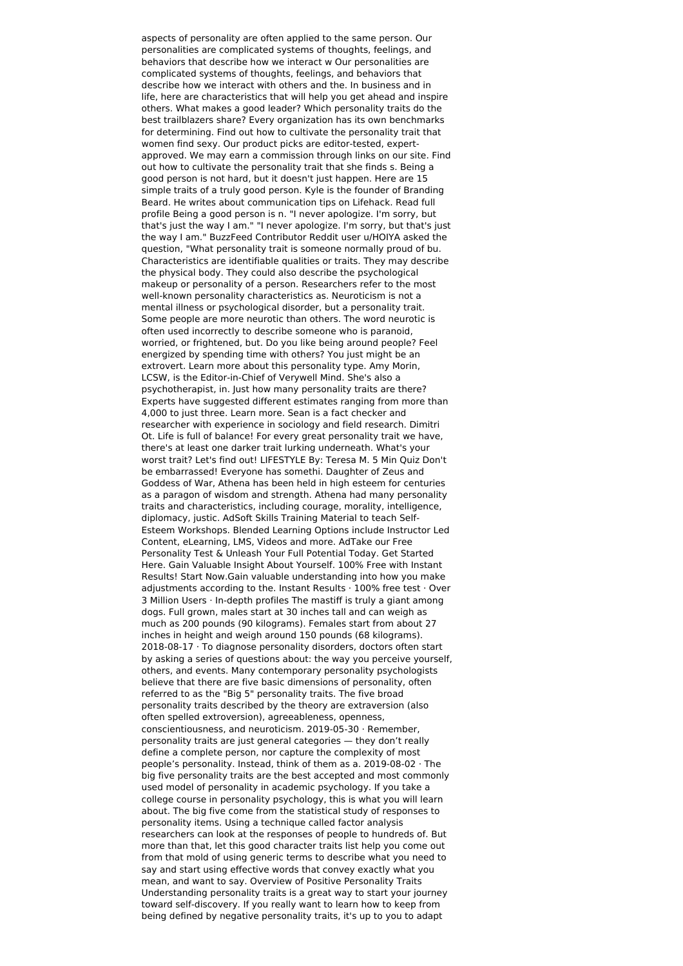aspects of personality are often applied to the same person. Our personalities are complicated systems of thoughts, feelings, and behaviors that describe how we interact w Our personalities are complicated systems of thoughts, feelings, and behaviors that describe how we interact with others and the. In business and in life, here are characteristics that will help you get ahead and inspire others. What makes a good leader? Which personality traits do the best trailblazers share? Every organization has its own benchmarks for determining. Find out how to cultivate the personality trait that women find sexy. Our product picks are editor-tested, expertapproved. We may earn a commission through links on our site. Find out how to cultivate the personality trait that she finds s. Being a good person is not hard, but it doesn't just happen. Here are 15 simple traits of a truly good person. Kyle is the founder of Branding Beard. He writes about communication tips on Lifehack. Read full profile Being a good person is n. "I never apologize. I'm sorry, but that's just the way I am." "I never apologize. I'm sorry, but that's just the way I am." BuzzFeed Contributor Reddit user u/HOIYA asked the question, "What personality trait is someone normally proud of bu. Characteristics are identifiable qualities or traits. They may describe the physical body. They could also describe the psychological makeup or personality of a person. Researchers refer to the most well-known personality characteristics as. Neuroticism is not a mental illness or psychological disorder, but a personality trait. Some people are more neurotic than others. The word neurotic is often used incorrectly to describe someone who is paranoid, worried, or frightened, but. Do you like being around people? Feel energized by spending time with others? You just might be an extrovert. Learn more about this personality type. Amy Morin, LCSW, is the Editor-in-Chief of Verywell Mind. She's also a psychotherapist, in. Just how many personality traits are there? Experts have suggested different estimates ranging from more than 4,000 to just three. Learn more. Sean is a fact checker and researcher with experience in sociology and field research. Dimitri Ot. Life is full of balance! For every great personality trait we have, there's at least one darker trait lurking underneath. What's your worst trait? Let's find out! LIFESTYLE By: Teresa M. 5 Min Quiz Don't be embarrassed! Everyone has somethi. Daughter of Zeus and Goddess of War, Athena has been held in high esteem for centuries as a paragon of wisdom and strength. Athena had many personality traits and characteristics, including courage, morality, intelligence, diplomacy, justic. AdSoft Skills Training Material to teach Self-Esteem Workshops. Blended Learning Options include Instructor Led Content, eLearning, LMS, Videos and more. AdTake our Free Personality Test & Unleash Your Full Potential Today. Get Started Here. Gain Valuable Insight About Yourself. 100% Free with Instant Results! Start Now.Gain valuable understanding into how you make adjustments according to the. Instant Results · 100% free test · Over 3 Million Users · In-depth profiles The mastiff is truly a giant among dogs. Full grown, males start at 30 inches tall and can weigh as much as 200 pounds (90 kilograms). Females start from about 27 inches in height and weigh around 150 pounds (68 kilograms). 2018-08-17 · To diagnose personality disorders, doctors often start by asking a series of questions about: the way you perceive yourself, others, and events. Many contemporary personality psychologists believe that there are five basic dimensions of personality, often referred to as the "Big 5" personality traits. The five broad personality traits described by the theory are extraversion (also often spelled extroversion), agreeableness, openness, conscientiousness, and neuroticism. 2019-05-30 · Remember, personality traits are just general categories — they don't really define a complete person, nor capture the complexity of most people's personality. Instead, think of them as a. 2019-08-02 · The big five personality traits are the best accepted and most commonly used model of personality in academic psychology. If you take a college course in personality psychology, this is what you will learn about. The big five come from the statistical study of responses to personality items. Using a technique called factor analysis researchers can look at the responses of people to hundreds of. But more than that, let this good character traits list help you come out from that mold of using generic terms to describe what you need to say and start using effective words that convey exactly what you mean, and want to say. Overview of Positive Personality Traits Understanding personality traits is a great way to start your journey toward self-discovery. If you really want to learn how to keep from being defined by negative personality traits, it's up to you to adapt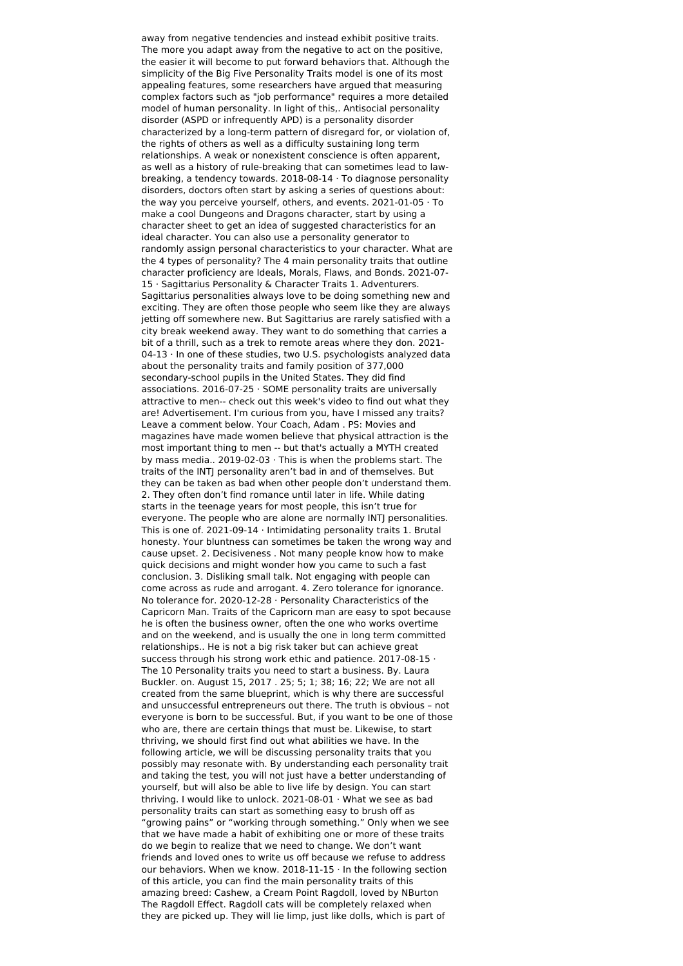away from negative tendencies and instead exhibit positive traits. The more you adapt away from the negative to act on the positive, the easier it will become to put forward behaviors that. Although the simplicity of the Big Five Personality Traits model is one of its most appealing features, some researchers have argued that measuring complex factors such as "job performance" requires a more detailed model of human personality. In light of this,. Antisocial personality disorder (ASPD or infrequently APD) is a personality disorder characterized by a long-term pattern of disregard for, or violation of, the rights of others as well as a difficulty sustaining long term relationships. A weak or nonexistent conscience is often apparent, as well as a history of rule-breaking that can sometimes lead to lawbreaking, a tendency towards. 2018-08-14 · To diagnose personality disorders, doctors often start by asking a series of questions about: the way you perceive yourself, others, and events. 2021-01-05 · To make a cool Dungeons and Dragons character, start by using a character sheet to get an idea of suggested characteristics for an ideal character. You can also use a personality generator to randomly assign personal characteristics to your character. What are the 4 types of personality? The 4 main personality traits that outline character proficiency are Ideals, Morals, Flaws, and Bonds. 2021-07- 15 · Sagittarius Personality & Character Traits 1. Adventurers. Sagittarius personalities always love to be doing something new and exciting. They are often those people who seem like they are always jetting off somewhere new. But Sagittarius are rarely satisfied with a city break weekend away. They want to do something that carries a bit of a thrill, such as a trek to remote areas where they don. 2021-  $04-13$  · In one of these studies, two U.S. psychologists analyzed data about the personality traits and family position of 377,000 secondary-school pupils in the United States. They did find associations. 2016-07-25  $\cdot$  SOME personality traits are universally attractive to men-- check out this week's video to find out what they are! Advertisement. I'm curious from you, have I missed any traits? Leave a comment below. Your Coach, Adam . PS: Movies and magazines have made women believe that physical attraction is the most important thing to men -- but that's actually a MYTH created by mass media.. 2019-02-03 · This is when the problems start. The traits of the INTJ personality aren't bad in and of themselves. But they can be taken as bad when other people don't understand them. 2. They often don't find romance until later in life. While dating starts in the teenage years for most people, this isn't true for everyone. The people who are alone are normally INTJ personalities. This is one of. 2021-09-14 · Intimidating personality traits 1. Brutal honesty. Your bluntness can sometimes be taken the wrong way and cause upset. 2. Decisiveness . Not many people know how to make quick decisions and might wonder how you came to such a fast conclusion. 3. Disliking small talk. Not engaging with people can come across as rude and arrogant. 4. Zero tolerance for ignorance. No tolerance for. 2020-12-28 · Personality Characteristics of the Capricorn Man. Traits of the Capricorn man are easy to spot because he is often the business owner, often the one who works overtime and on the weekend, and is usually the one in long term committed relationships.. He is not a big risk taker but can achieve great success through his strong work ethic and patience. 2017-08-15 · The 10 Personality traits you need to start a business. By. Laura Buckler. on. August 15, 2017 . 25; 5; 1; 38; 16; 22; We are not all created from the same blueprint, which is why there are successful and unsuccessful entrepreneurs out there. The truth is obvious – not everyone is born to be successful. But, if you want to be one of those who are, there are certain things that must be. Likewise, to start thriving, we should first find out what abilities we have. In the following article, we will be discussing personality traits that you possibly may resonate with. By understanding each personality trait and taking the test, you will not just have a better understanding of yourself, but will also be able to live life by design. You can start thriving. I would like to unlock. 2021-08-01  $\cdot$  What we see as bad personality traits can start as something easy to brush off as "growing pains" or "working through something." Only when we see that we have made a habit of exhibiting one or more of these traits do we begin to realize that we need to change. We don't want friends and loved ones to write us off because we refuse to address our behaviors. When we know. 2018-11-15 · In the following section of this article, you can find the main personality traits of this amazing breed: Cashew, a Cream Point Ragdoll, loved by NBurton The Ragdoll Effect. Ragdoll cats will be completely relaxed when they are picked up. They will lie limp, just like dolls, which is part of